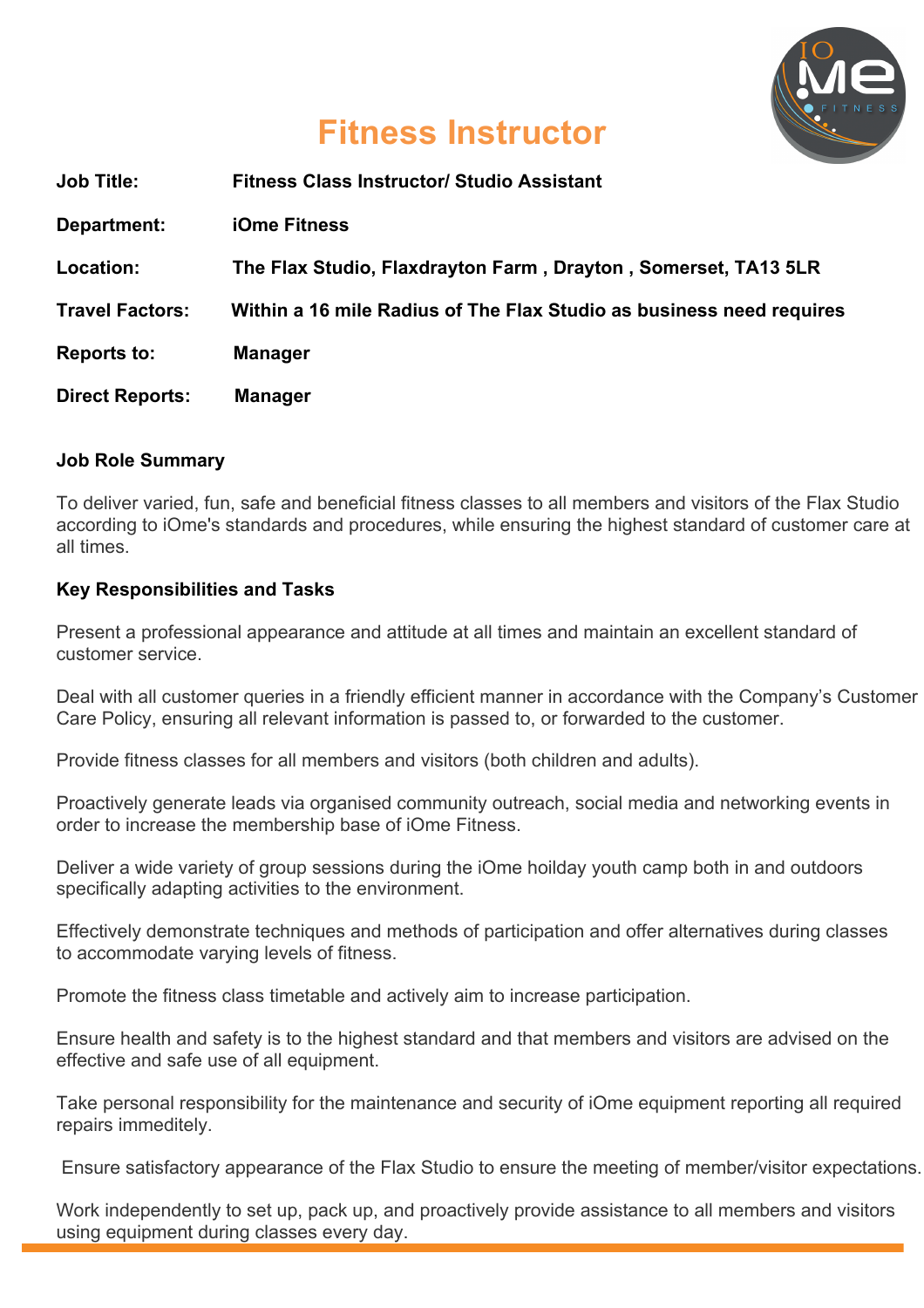

# **Fitness Instructor**

| <b>Job Title:</b>      | <b>Fitness Class Instructor/ Studio Assistant</b>                    |
|------------------------|----------------------------------------------------------------------|
| Department:            | <b>iOme Fitness</b>                                                  |
| Location:              | The Flax Studio, Flaxdrayton Farm, Drayton, Somerset, TA13 5LR       |
| <b>Travel Factors:</b> | Within a 16 mile Radius of The Flax Studio as business need requires |
| <b>Reports to:</b>     | <b>Manager</b>                                                       |
| <b>Direct Reports:</b> | <b>Manager</b>                                                       |

#### **Job Role Summary**

To deliver varied, fun, safe and beneficial fitness classes to all members and visitors of the Flax Studio according to iOme's standards and procedures, while ensuring the highest standard of customer care at all times.

#### **Key Responsibilities and Tasks**

Present a professional appearance and attitude at all times and maintain an excellent standard of customer service.

Deal with all customer queries in a friendly efficient manner in accordance with the Company's Customer Care Policy, ensuring all relevant information is passed to, or forwarded to the customer.

Provide fitness classes for all members and visitors (both children and adults).

Proactively generate leads via organised community outreach, social media and networking events in order to increase the membership base of iOme Fitness.

Deliver a wide variety of group sessions during the iOme hoilday youth camp both in and outdoors specifically adapting activities to the environment.

Effectively demonstrate techniques and methods of participation and offer alternatives during classes to accommodate varying levels of fitness.

Promote the fitness class timetable and actively aim to increase participation.

Ensure health and safety is to the highest standard and that members and visitors are advised on the effective and safe use of all equipment.

Take personal responsibility for the maintenance and security of iOme equipment reporting all required repairs immeditely.

Ensure satisfactory appearance of the Flax Studio to ensure the meeting of member/visitor expectations.

Work independently to set up, pack up, and proactively provide assistance to all members and visitors using equipment during classes every day.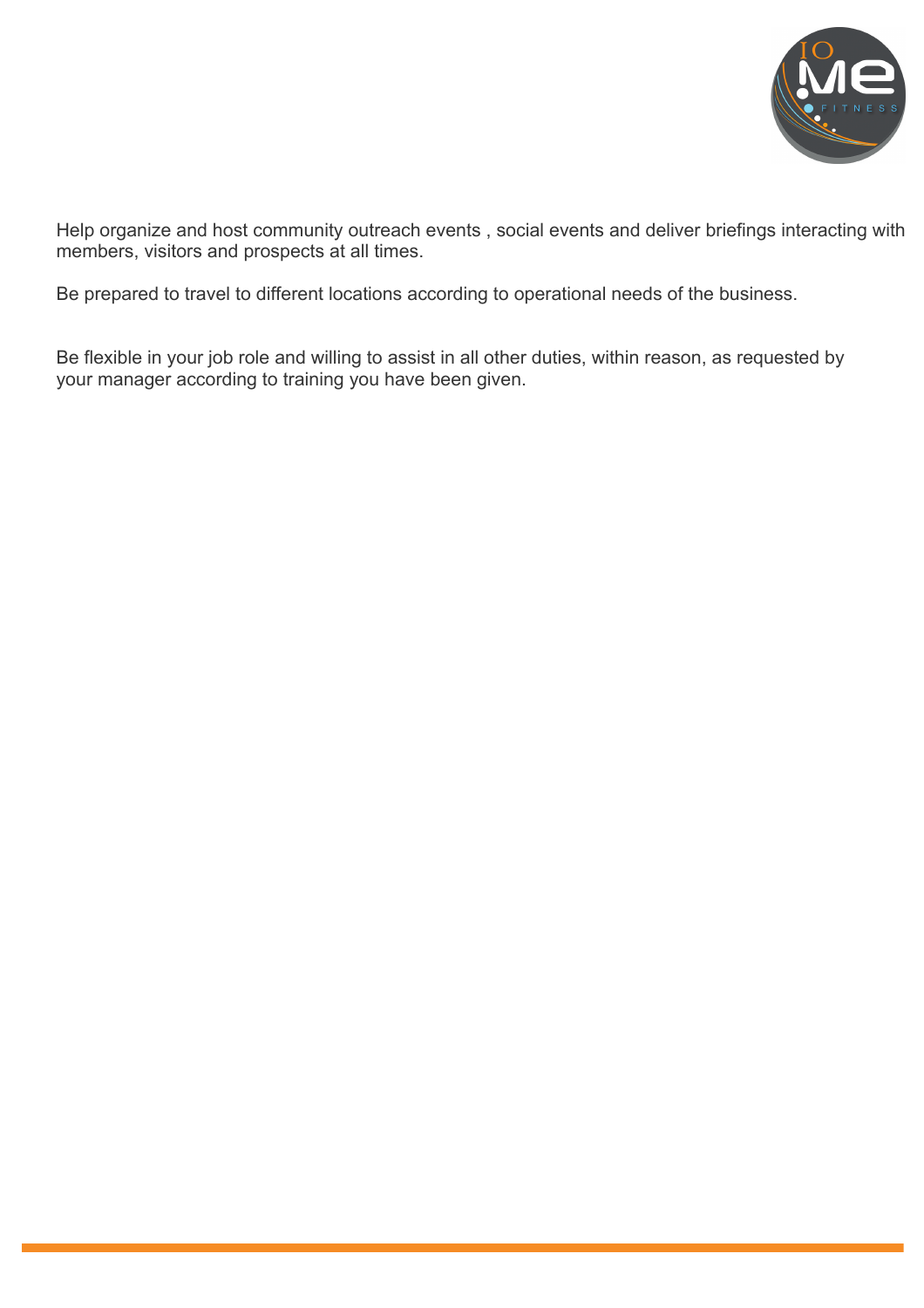

Help organize and host community outreach events , social events and deliver briefings interacting with members, visitors and prospects at all times.

Be prepared to travel to different locations according to operational needs of the business.

Be flexible in your job role and willing to assist in all other duties, within reason, as requested by your manager according to training you have been given.